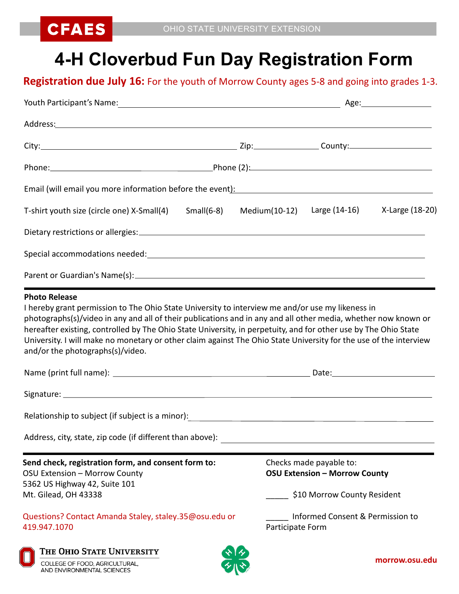

## **4-H Cloverbud Fun Day Registration Form**

## **Registration due July 16:** For the youth of Morrow County ages 5-8 and going into grades 1-3.

| Email (will email you more information before the event): [11] [21] The mail (will email you more information before the event):                                                                                                                                                                                                                                                           |               |                                                                                                |                 |  |
|--------------------------------------------------------------------------------------------------------------------------------------------------------------------------------------------------------------------------------------------------------------------------------------------------------------------------------------------------------------------------------------------|---------------|------------------------------------------------------------------------------------------------|-----------------|--|
| T-shirt youth size (circle one) X-Small(4)<br>$Small(6-8)$                                                                                                                                                                                                                                                                                                                                 | Medium(10-12) | Large (14-16)                                                                                  | X-Large (18-20) |  |
|                                                                                                                                                                                                                                                                                                                                                                                            |               |                                                                                                |                 |  |
|                                                                                                                                                                                                                                                                                                                                                                                            |               |                                                                                                |                 |  |
|                                                                                                                                                                                                                                                                                                                                                                                            |               |                                                                                                |                 |  |
| photographs(s)/video in any and all of their publications and in any and all other media, whether now known or<br>hereafter existing, controlled by The Ohio State University, in perpetuity, and for other use by The Ohio State<br>University. I will make no monetary or other claim against The Ohio State University for the use of the interview<br>and/or the photographs(s)/video. |               |                                                                                                |                 |  |
| Relationship to subject (if subject is a minor): \\espainting \\espainting \\espainting \\espainting \\espainting \\espainting \\espainting \\espainting \\espainting \\espainting \\espainting \\espainting \\espainting \\es                                                                                                                                                             |               |                                                                                                |                 |  |
| Address, city, state, zip code (if different than above):                                                                                                                                                                                                                                                                                                                                  |               |                                                                                                |                 |  |
| Send check, registration form, and consent form to:<br>OSU Extension - Morrow County<br>5362 US Highway 42, Suite 101<br>Mt. Gilead, OH 43338                                                                                                                                                                                                                                              |               | Checks made payable to:<br><b>OSU Extension - Morrow County</b><br>\$10 Morrow County Resident |                 |  |
| Questions? Contact Amanda Staley, staley.35@osu.edu or<br>419.947.1070                                                                                                                                                                                                                                                                                                                     |               | Informed Consent & Permission to<br>Participate Form                                           |                 |  |
| THE OHIO STATE UNIVERSITY<br>COLLEGE OF FOOD, AGRICULTURAL,<br>AND ENVIRONMENTAL SCIENCES                                                                                                                                                                                                                                                                                                  |               |                                                                                                | morrow.osu.edu  |  |